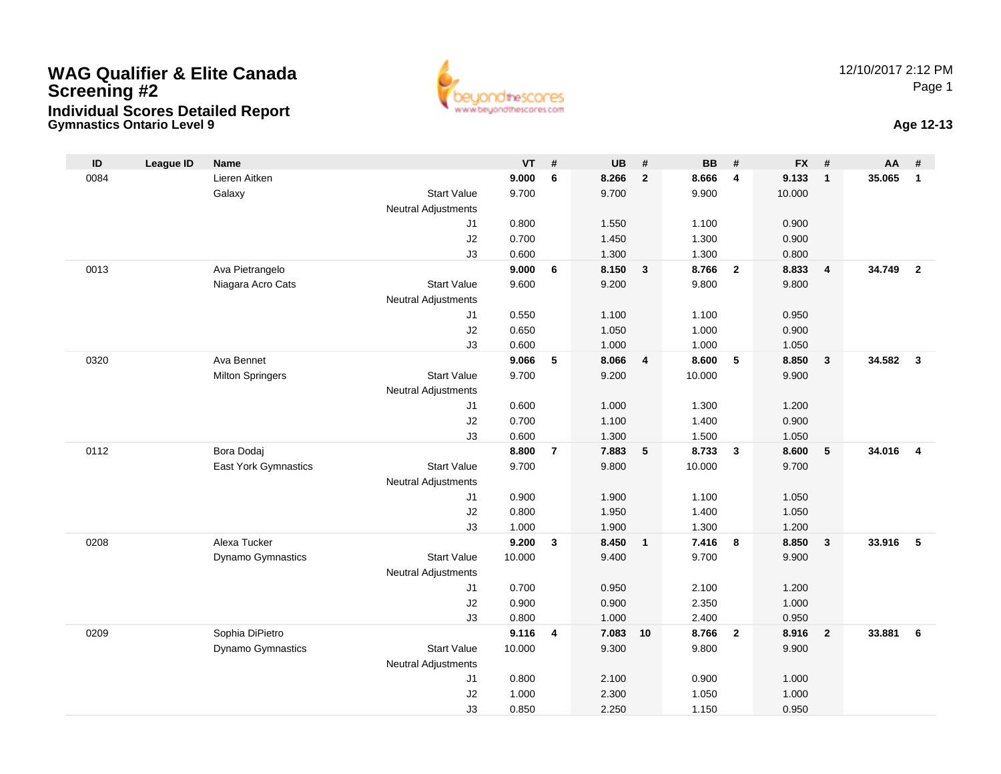## **Gymnastics Ontario Level 9 Age 12-13 WAG Qualifier & Elite CanadaScreening #2Individual Scores Detailed Report**





| ID   | <b>League ID</b> | <b>Name</b>             |                            | <b>VT</b>      | #              | <b>UB</b>      | #                       | <b>BB</b>      | #              | <b>FX</b>      | #                       | AA     | #                       |
|------|------------------|-------------------------|----------------------------|----------------|----------------|----------------|-------------------------|----------------|----------------|----------------|-------------------------|--------|-------------------------|
| 0084 |                  | Lieren Aitken           |                            | 9.000          | 6              | 8.266          | $\overline{2}$          | 8.666          | 4              | 9.133          | $\overline{1}$          | 35.065 | $\mathbf{1}$            |
|      |                  | Galaxy                  | <b>Start Value</b>         | 9.700          |                | 9.700          |                         | 9.900          |                | 10.000         |                         |        |                         |
|      |                  |                         | <b>Neutral Adjustments</b> |                |                |                |                         |                |                |                |                         |        |                         |
|      |                  |                         | J1                         | 0.800          |                | 1.550          |                         | 1.100          |                | 0.900          |                         |        |                         |
|      |                  |                         | J2                         | 0.700          |                | 1.450          |                         | 1.300          |                | 0.900          |                         |        |                         |
|      |                  |                         | J3                         | 0.600          |                | 1.300          |                         | 1.300          |                | 0.800          |                         |        |                         |
| 0013 |                  | Ava Pietrangelo         |                            | 9.000          | 6              | 8.150          | $\mathbf{3}$            | 8.766          | $\mathbf{2}$   | 8.833          | $\overline{4}$          | 34.749 | $\overline{2}$          |
|      |                  | Niagara Acro Cats       | <b>Start Value</b>         | 9.600          |                | 9.200          |                         | 9.800          |                | 9.800          |                         |        |                         |
|      |                  |                         | <b>Neutral Adjustments</b> |                |                |                |                         |                |                |                |                         |        |                         |
|      |                  |                         | J1                         | 0.550          |                | 1.100          |                         | 1.100          |                | 0.950          |                         |        |                         |
|      |                  |                         | J2                         | 0.650          |                | 1.050          |                         | 1.000          |                | 0.900          |                         |        |                         |
|      |                  |                         | J3                         | 0.600          |                | 1.000          |                         | 1.000          |                | 1.050          |                         |        |                         |
| 0320 |                  | Ava Bennet              |                            | 9.066          | 5              | 8.066          | $\overline{\mathbf{4}}$ | 8.600          | 5              | 8.850          | $\overline{\mathbf{3}}$ | 34.582 | $\overline{\mathbf{3}}$ |
|      |                  | <b>Milton Springers</b> | <b>Start Value</b>         | 9.700          |                | 9.200          |                         | 10.000         |                | 9.900          |                         |        |                         |
|      |                  |                         | <b>Neutral Adjustments</b> |                |                |                |                         |                |                |                |                         |        |                         |
|      |                  |                         | J1<br>J2                   | 0.600<br>0.700 |                | 1.000<br>1.100 |                         | 1.300<br>1.400 |                | 1.200<br>0.900 |                         |        |                         |
|      |                  |                         | J3                         | 0.600          |                | 1.300          |                         | 1.500          |                | 1.050          |                         |        |                         |
| 0112 |                  | Bora Dodaj              |                            | 8.800          | $\overline{7}$ | 7.883          | 5                       | 8.733          | $\mathbf{3}$   | 8.600          | 5                       | 34.016 | $\overline{\mathbf{4}}$ |
|      |                  | East York Gymnastics    | <b>Start Value</b>         | 9.700          |                | 9.800          |                         | 10.000         |                | 9.700          |                         |        |                         |
|      |                  |                         | <b>Neutral Adjustments</b> |                |                |                |                         |                |                |                |                         |        |                         |
|      |                  |                         | J1                         | 0.900          |                | 1.900          |                         | 1.100          |                | 1.050          |                         |        |                         |
|      |                  |                         | J2                         | 0.800          |                | 1.950          |                         | 1.400          |                | 1.050          |                         |        |                         |
|      |                  |                         | J3                         | 1.000          |                | 1.900          |                         | 1.300          |                | 1.200          |                         |        |                         |
| 0208 |                  | Alexa Tucker            |                            | 9.200          | 3              | 8.450          | $\mathbf{1}$            | 7.416          | 8              | 8.850          | $\mathbf{3}$            | 33.916 | 5                       |
|      |                  | Dynamo Gymnastics       | <b>Start Value</b>         | 10.000         |                | 9.400          |                         | 9.700          |                | 9.900          |                         |        |                         |
|      |                  |                         | <b>Neutral Adjustments</b> |                |                |                |                         |                |                |                |                         |        |                         |
|      |                  |                         | J <sub>1</sub>             | 0.700          |                | 0.950          |                         | 2.100          |                | 1.200          |                         |        |                         |
|      |                  |                         | J2                         | 0.900          |                | 0.900          |                         | 2.350          |                | 1.000          |                         |        |                         |
|      |                  |                         | J3                         | 0.800          |                | 1.000          |                         | 2.400          |                | 0.950          |                         |        |                         |
| 0209 |                  | Sophia DiPietro         |                            | 9.116          | 4              | 7.083          | 10                      | 8.766          | $\overline{2}$ | 8.916          | $\overline{\mathbf{2}}$ | 33.881 | 6                       |
|      |                  | Dynamo Gymnastics       | <b>Start Value</b>         | 10.000         |                | 9.300          |                         | 9.800          |                | 9.900          |                         |        |                         |
|      |                  |                         | Neutral Adjustments        |                |                |                |                         |                |                |                |                         |        |                         |
|      |                  |                         | J <sub>1</sub>             | 0.800          |                | 2.100          |                         | 0.900          |                | 1.000          |                         |        |                         |
|      |                  |                         | J2                         | 1.000          |                | 2.300          |                         | 1.050          |                | 1.000          |                         |        |                         |
|      |                  |                         | J3                         | 0.850          |                | 2.250          |                         | 1.150          |                | 0.950          |                         |        |                         |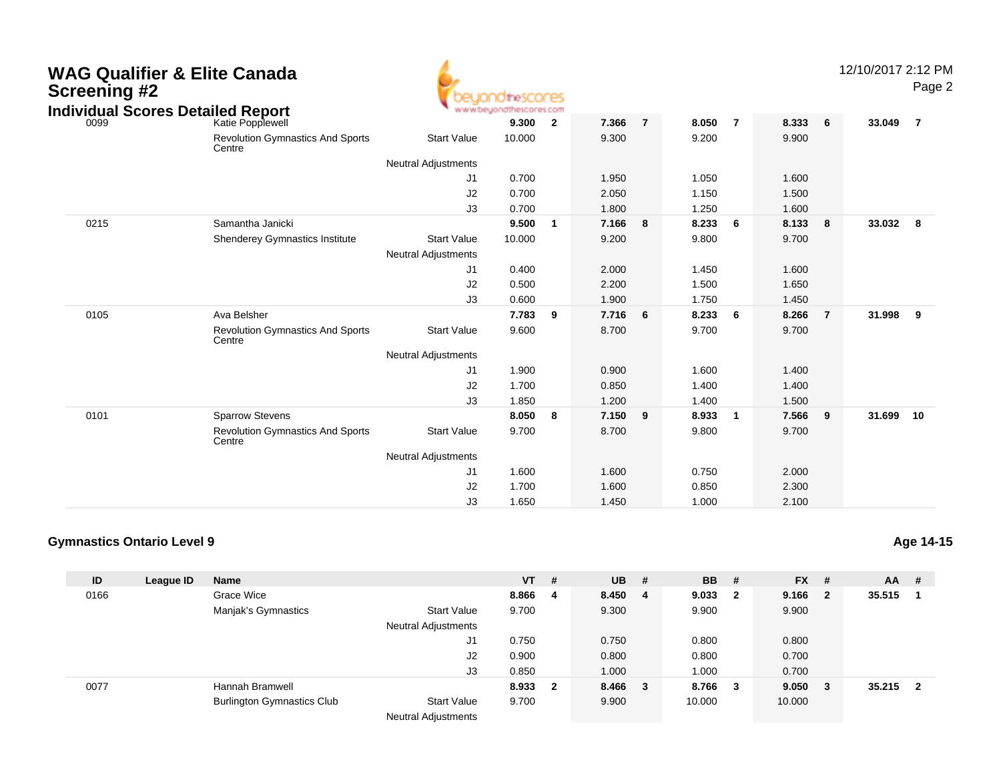| Screening #2 | WAG Qualifier & Elite Canada                                 |                                                  | <b>10theSCOCES</b> |                         |       |                |       |                |       |                | 12/10/2017 2:12 PM | Page 2                  |
|--------------|--------------------------------------------------------------|--------------------------------------------------|--------------------|-------------------------|-------|----------------|-------|----------------|-------|----------------|--------------------|-------------------------|
| 0099         | <b>Individual Scores Detailed Report</b><br>Katie Popplewell | www.beuond                                       | 9.300              | $\overline{\mathbf{2}}$ | 7.366 | $\overline{7}$ | 8.050 | $\overline{7}$ | 8.333 | 6              | 33.049             | $\overline{7}$          |
|              | <b>Revolution Gymnastics And Sports</b><br>Centre            | <b>Start Value</b>                               | 10.000             |                         | 9.300 |                | 9.200 |                | 9.900 |                |                    |                         |
|              |                                                              | <b>Neutral Adjustments</b>                       |                    |                         |       |                |       |                |       |                |                    |                         |
|              |                                                              | J1                                               | 0.700              |                         | 1.950 |                | 1.050 |                | 1.600 |                |                    |                         |
|              |                                                              | J2                                               | 0.700              |                         | 2.050 |                | 1.150 |                | 1.500 |                |                    |                         |
|              |                                                              | J3                                               | 0.700              |                         | 1.800 |                | 1.250 |                | 1.600 |                |                    |                         |
| 0215         | Samantha Janicki                                             |                                                  | 9.500              | $\overline{\mathbf{1}}$ | 7.166 | 8              | 8.233 | 6              | 8.133 | 8              | 33.032             | $\overline{\mathbf{8}}$ |
|              | Shenderey Gymnastics Institute                               | <b>Start Value</b><br><b>Neutral Adjustments</b> | 10.000             |                         | 9.200 |                | 9.800 |                | 9.700 |                |                    |                         |
|              |                                                              | J1                                               | 0.400              |                         | 2.000 |                | 1.450 |                | 1.600 |                |                    |                         |
|              |                                                              | J <sub>2</sub>                                   | 0.500              |                         | 2.200 |                | 1.500 |                | 1.650 |                |                    |                         |
|              |                                                              | J3                                               | 0.600              |                         | 1.900 |                | 1.750 |                | 1.450 |                |                    |                         |
| 0105         | Ava Belsher                                                  |                                                  | 7.783              | 9                       | 7.716 | 6              | 8.233 | 6              | 8.266 | $\overline{7}$ | 31.998             | 9                       |
|              | <b>Revolution Gymnastics And Sports</b><br>Centre            | <b>Start Value</b>                               | 9.600              |                         | 8.700 |                | 9.700 |                | 9.700 |                |                    |                         |
|              |                                                              | <b>Neutral Adjustments</b>                       |                    |                         |       |                |       |                |       |                |                    |                         |
|              |                                                              | J1                                               | 1.900              |                         | 0.900 |                | 1.600 |                | 1.400 |                |                    |                         |
|              |                                                              | J <sub>2</sub>                                   | 1.700              |                         | 0.850 |                | 1.400 |                | 1.400 |                |                    |                         |
|              |                                                              | J3                                               | 1.850              |                         | 1.200 |                | 1.400 |                | 1.500 |                |                    |                         |
| 0101         | <b>Sparrow Stevens</b>                                       |                                                  | 8.050              | - 8                     | 7.150 | 9              | 8.933 | $\overline{1}$ | 7.566 | 9              | 31.699             | 10                      |
|              | <b>Revolution Gymnastics And Sports</b><br>Centre            | <b>Start Value</b>                               | 9.700              |                         | 8.700 |                | 9.800 |                | 9.700 |                |                    |                         |
|              |                                                              | <b>Neutral Adjustments</b>                       |                    |                         |       |                |       |                |       |                |                    |                         |
|              |                                                              | J1                                               | 1.600              |                         | 1.600 |                | 0.750 |                | 2.000 |                |                    |                         |
|              |                                                              | J <sub>2</sub>                                   | 1.700              |                         | 1.600 |                | 0.850 |                | 2.300 |                |                    |                         |
|              |                                                              | J3                                               | 1.650              |                         | 1.450 |                | 1.000 |                | 2.100 |                |                    |                         |

## **Gymnastics Ontario Level 9**

| ID   | League ID | <b>Name</b>                       |                            | <b>VT</b> | #                       | $UB$ #  | <b>BB</b> # |                         | $FX$ #  | $AA$ # |                         |
|------|-----------|-----------------------------------|----------------------------|-----------|-------------------------|---------|-------------|-------------------------|---------|--------|-------------------------|
| 0166 |           | Grace Wice                        |                            | 8.866     | -4                      | 8.450 4 | 9.033       | $\overline{\mathbf{2}}$ | 9.166 2 | 35.515 |                         |
|      |           | Manjak's Gymnastics               | <b>Start Value</b>         | 9.700     |                         | 9.300   | 9.900       |                         | 9.900   |        |                         |
|      |           |                                   | <b>Neutral Adjustments</b> |           |                         |         |             |                         |         |        |                         |
|      |           |                                   | J1                         | 0.750     |                         | 0.750   | 0.800       |                         | 0.800   |        |                         |
|      |           |                                   | J2                         | 0.900     |                         | 0.800   | 0.800       |                         | 0.700   |        |                         |
|      |           |                                   | J3                         | 0.850     |                         | 1.000   | 1.000       |                         | 0.700   |        |                         |
| 0077 |           | Hannah Bramwell                   |                            | 8.933     | $\overline{\mathbf{2}}$ | 8.466 3 | 8.766       | - 3                     | 9.050 3 | 35.215 | $\overline{\mathbf{2}}$ |
|      |           | <b>Burlington Gymnastics Club</b> | <b>Start Value</b>         | 9.700     |                         | 9.900   | 10.000      |                         | 10.000  |        |                         |
|      |           |                                   | .                          |           |                         |         |             |                         |         |        |                         |

Neutral Adjustments

**Age 14-15**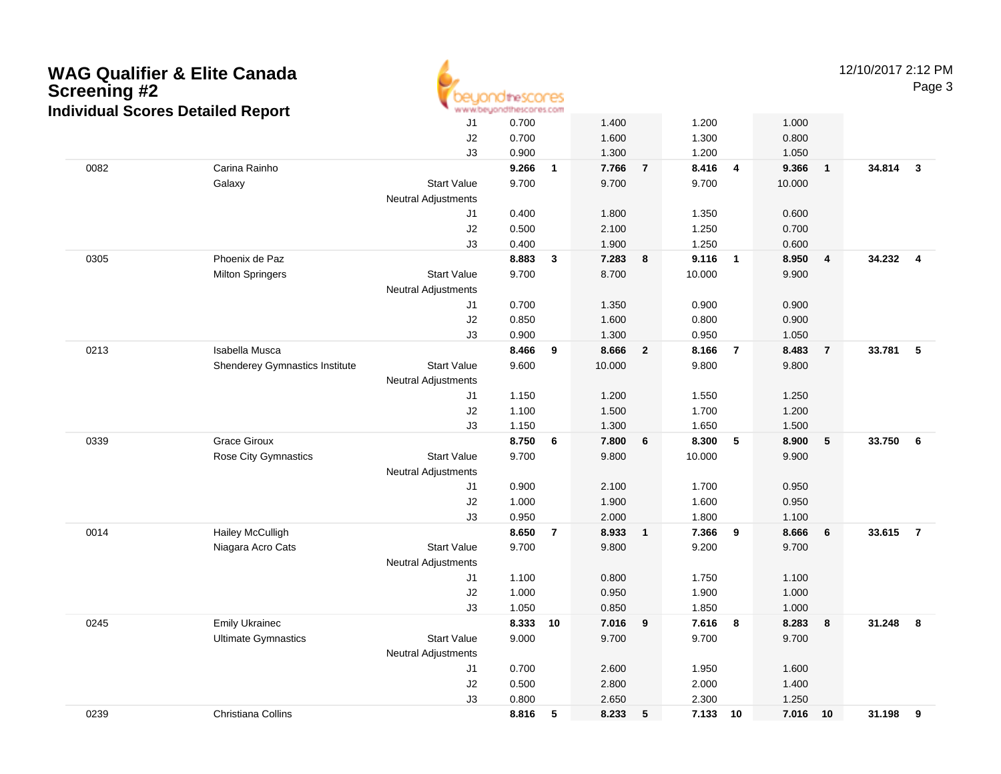| <b>Screening #2</b> | <b>WAG Qualifier &amp; Elite Canada</b><br><b>Individual Scores Detailed Report</b> |                            | euonditescores<br>www.beyondthescores.com |                         |                  |                         |                |                         |                  |                | 12/10/2017 2:12 PM | Page 3         |
|---------------------|-------------------------------------------------------------------------------------|----------------------------|-------------------------------------------|-------------------------|------------------|-------------------------|----------------|-------------------------|------------------|----------------|--------------------|----------------|
|                     |                                                                                     | J1                         | 0.700                                     |                         | 1.400            |                         | 1.200          |                         | 1.000            |                |                    |                |
|                     |                                                                                     | J2                         | 0.700                                     |                         | 1.600            |                         | 1.300          |                         | 0.800            |                |                    |                |
|                     |                                                                                     | J3                         | 0.900                                     |                         | 1.300            |                         | 1.200          |                         | 1.050            |                |                    |                |
| 0082                | Carina Rainho                                                                       |                            | 9.266                                     | $\overline{\mathbf{1}}$ | 7.766            | $\overline{7}$          | 8.416          | 4                       | 9.366            | $\mathbf{1}$   | 34.814             | $\mathbf{3}$   |
|                     | Galaxy                                                                              | <b>Start Value</b>         | 9.700                                     |                         | 9.700            |                         | 9.700          |                         | 10.000           |                |                    |                |
|                     |                                                                                     | <b>Neutral Adjustments</b> |                                           |                         |                  |                         |                |                         |                  |                |                    |                |
|                     |                                                                                     | J1                         | 0.400                                     |                         | 1.800            |                         | 1.350          |                         | 0.600            |                |                    |                |
|                     |                                                                                     | J <sub>2</sub>             | 0.500                                     |                         | 2.100            |                         | 1.250          |                         | 0.700            |                |                    |                |
|                     |                                                                                     | J3                         | 0.400                                     |                         | 1.900            |                         | 1.250          |                         | 0.600            |                |                    |                |
| 0305                | Phoenix de Paz                                                                      |                            | 8.883                                     | $\mathbf{3}$            | 7.283            | 8                       | 9.116          | $\overline{\mathbf{1}}$ | 8.950            | 4              | 34.232             | $\overline{4}$ |
|                     | <b>Milton Springers</b>                                                             | <b>Start Value</b>         | 9.700                                     |                         | 8.700            |                         | 10.000         |                         | 9.900            |                |                    |                |
|                     |                                                                                     | <b>Neutral Adjustments</b> |                                           |                         |                  |                         |                |                         |                  |                |                    |                |
|                     |                                                                                     | J1                         | 0.700                                     |                         | 1.350            |                         | 0.900          |                         | 0.900            |                |                    |                |
|                     |                                                                                     | J2                         | 0.850                                     |                         | 1.600            |                         | 0.800          |                         | 0.900            |                |                    |                |
|                     |                                                                                     | J3                         | 0.900                                     |                         | 1.300            |                         | 0.950          |                         | 1.050            |                |                    |                |
| 0213                | Isabella Musca                                                                      |                            | 8.466                                     | 9                       | 8.666            | $\overline{2}$          | 8.166          | $\overline{7}$          | 8.483            | $\overline{7}$ | 33.781             | 5              |
|                     | Shenderey Gymnastics Institute                                                      | <b>Start Value</b>         | 9.600                                     |                         | 10.000           |                         | 9.800          |                         | 9.800            |                |                    |                |
|                     |                                                                                     | <b>Neutral Adjustments</b> |                                           |                         |                  |                         |                |                         |                  |                |                    |                |
|                     |                                                                                     | J1                         | 1.150                                     |                         | 1.200            |                         | 1.550          |                         | 1.250            |                |                    |                |
|                     |                                                                                     | J2                         | 1.100                                     |                         | 1.500            |                         | 1.700          |                         | 1.200            |                |                    |                |
|                     |                                                                                     | J3                         | 1.150                                     |                         | 1.300            |                         | 1.650          |                         | 1.500            |                |                    |                |
| 0339                | <b>Grace Giroux</b>                                                                 |                            | 8.750                                     | 6                       | 7.800            | 6                       | 8.300          | 5                       | 8.900            | 5              | 33.750             | - 6            |
|                     | Rose City Gymnastics                                                                | <b>Start Value</b>         | 9.700                                     |                         | 9.800            |                         | 10.000         |                         | 9.900            |                |                    |                |
|                     |                                                                                     | <b>Neutral Adjustments</b> |                                           |                         |                  |                         |                |                         |                  |                |                    |                |
|                     |                                                                                     | J1                         | 0.900                                     |                         | 2.100            |                         | 1.700          |                         | 0.950            |                |                    |                |
|                     |                                                                                     | J2                         | 1.000                                     |                         | 1.900            |                         | 1.600          |                         | 0.950            |                |                    |                |
|                     |                                                                                     | J3                         | 0.950                                     |                         | 2.000            |                         | 1.800          |                         | 1.100            |                |                    |                |
| 0014                | <b>Hailey McCulligh</b>                                                             |                            | 8.650                                     | $\overline{7}$          | 8.933            | $\overline{\mathbf{1}}$ | 7.366          | 9                       | 8.666            | 6              | 33.615             | $\overline{7}$ |
|                     | Niagara Acro Cats                                                                   | <b>Start Value</b>         | 9.700                                     |                         | 9.800            |                         | 9.200          |                         | 9.700            |                |                    |                |
|                     |                                                                                     | <b>Neutral Adjustments</b> |                                           |                         |                  |                         |                |                         |                  |                |                    |                |
|                     |                                                                                     | J1                         | 1.100                                     |                         | 0.800            |                         | 1.750          |                         | 1.100            |                |                    |                |
|                     |                                                                                     | J2                         | 1.000                                     |                         | 0.950            |                         | 1.900          |                         | 1.000            |                |                    |                |
|                     |                                                                                     | J3                         | 1.050                                     |                         | 0.850            |                         | 1.850          |                         | 1.000            |                |                    |                |
| 0245                | Emily Ukrainec<br><b>Ultimate Gymnastics</b>                                        | <b>Start Value</b>         | 8.333 10<br>9.000                         |                         | 7.016 9<br>9.700 |                         | 7.616<br>9.700 | $\overline{\mathbf{8}}$ | 8.283 8<br>9.700 |                | 31.248 8           |                |
|                     |                                                                                     | Neutral Adjustments        |                                           |                         |                  |                         |                |                         |                  |                |                    |                |
|                     |                                                                                     | J1                         | 0.700                                     |                         | 2.600            |                         | 1.950          |                         | 1.600            |                |                    |                |
|                     |                                                                                     | $\sf J2$                   | 0.500                                     |                         | 2.800            |                         | 2.000          |                         | 1.400            |                |                    |                |
|                     |                                                                                     | J3                         | 0.800                                     |                         | 2.650            |                         | 2.300          |                         | 1.250            |                |                    |                |
| 0239                | Christiana Collins                                                                  |                            | 8.816 5                                   |                         | 8.233 5          |                         | 7.133 10       |                         | 7.016 10         |                | 31.198 9           |                |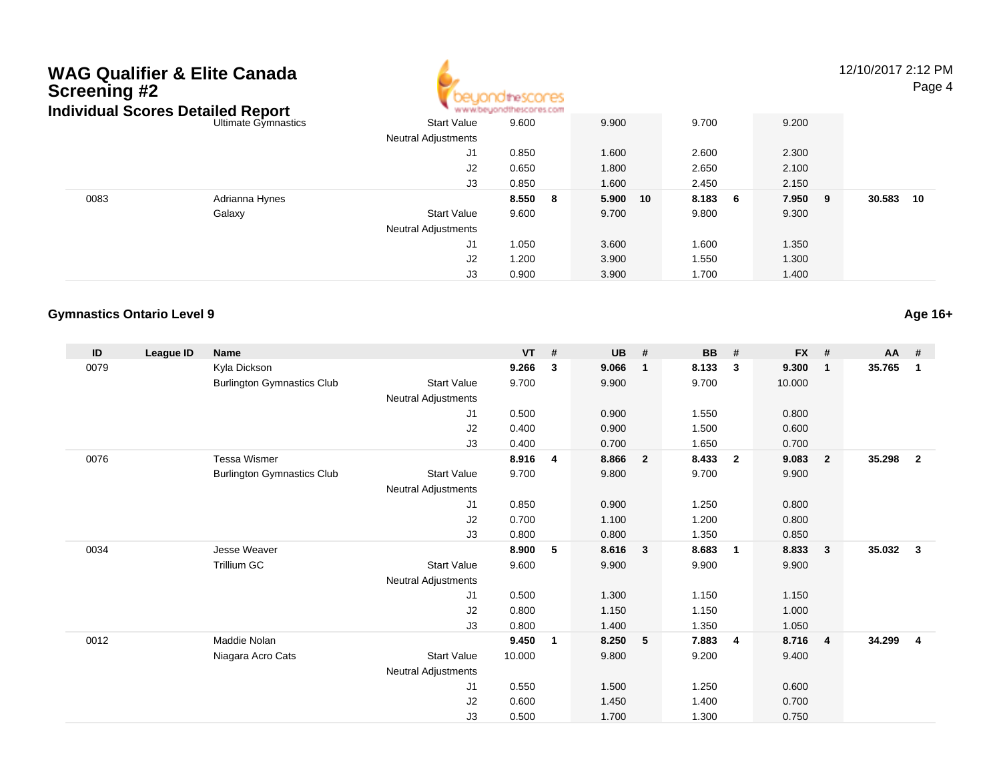## **WAG Qualifier & Elite CanadaScreening #2Individual Scores Detailed Report**



12/10/2017 2:12 PMPage 4

| ndividual Scores Detailed Report |                     |                            | * www.beyondthescores.com |             |         |         |                |
|----------------------------------|---------------------|----------------------------|---------------------------|-------------|---------|---------|----------------|
|                                  | Ultimate Gymnastics | <b>Start Value</b>         | 9.600                     | 9.900       | 9.700   | 9.200   |                |
|                                  |                     | <b>Neutral Adjustments</b> |                           |             |         |         |                |
|                                  |                     | J1                         | 0.850                     | 1.600       | 2.600   | 2.300   |                |
|                                  |                     | J2                         | 0.650                     | 1.800       | 2.650   | 2.100   |                |
|                                  |                     | J3                         | 0.850                     | 1.600       | 2.450   | 2.150   |                |
| 0083                             | Adrianna Hynes      |                            | 8.550 8                   | 5.900<br>10 | 8.183 6 | 7.950 9 | 30.583<br>- 10 |
|                                  | Galaxy              | <b>Start Value</b>         | 9.600                     | 9.700       | 9.800   | 9.300   |                |
|                                  |                     | <b>Neutral Adjustments</b> |                           |             |         |         |                |
|                                  |                     | J1                         | 1.050                     | 3.600       | 1.600   | 1.350   |                |
|                                  |                     | J <sub>2</sub>             | 1.200                     | 3.900       | 1.550   | 1.300   |                |
|                                  |                     | J3                         | 0.900                     | 3.900       | 1.700   | 1.400   |                |

## **Gymnastics Ontario Level 9**

**ID League ID Name VT # UB # BB # FX # AA #** 0079 Kyla Dickson **9.266 <sup>3</sup> 9.066 <sup>1</sup> 8.133 <sup>3</sup> 9.300 <sup>1</sup> 35.765 <sup>1</sup>** Burlington Gymnastics Club Start Value 9.700 9.900 9.700 10.000 Neutral Adjustments J1 0.500 0.900 1.550 0.800 J2 0.400 0.900 1.500 0.600 J3 0.400 0.700 1.650 0.700 0076 Tessa Wismer **8.916 <sup>4</sup> 8.866 <sup>2</sup> 8.433 <sup>2</sup> 9.083 <sup>2</sup> 35.298 <sup>2</sup>** Burlington Gymnastics Club Start Value 9.700 9.800 9.700 9.900 Neutral Adjustments J1 0.850 0.900 1.250 0.800 J2 0.700 1.100 1.200 0.800 J3 0.800 0.800 1.350 0.850 0034 Jesse Weaver **8.900 <sup>5</sup> 8.616 <sup>3</sup> 8.683 <sup>1</sup> 8.833 <sup>3</sup> 35.032 <sup>3</sup>** Trillium GCC 3.900 Start Value 9.600 9.900 9.900 9.900 9.900 Neutral Adjustments J1 0.500 1.300 1.150 1.150 J2 0.800 1.150 1.150 1.000 J3 0.800 1.400 1.350 1.050 0012 Maddie Nolan **9.450 <sup>1</sup> 8.250 <sup>5</sup> 7.883 <sup>4</sup> 8.716 <sup>4</sup> 34.299 <sup>4</sup>** Niagara Acro Cats Start Value 10.000 9.800 9.200 9.400 Neutral Adjustments J1 0.550 1.500 1.250 0.600 J2 0.600 1.450 1.400 0.700 J30.500 1.700 1.300 0.750

**Age 16+**